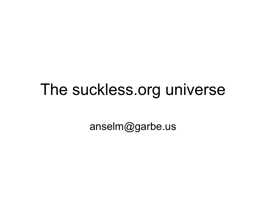### The suckless.org universe

anselm@garbe.us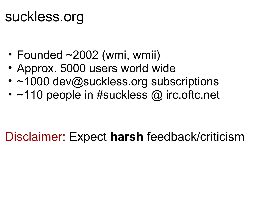### suckless.org

- Founded ~2002 (wmi, wmii)
- Approx. 5000 users world wide
- ~1000 dev@suckless.org subscriptions
- $~110$  people in #suckless  $\omega$  irc. oftc. net

#### Disclaimer: Expect **harsh** feedback/criticism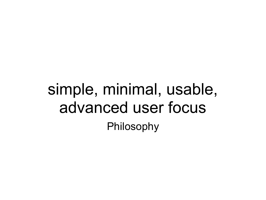### simple, minimal, usable, advanced user focus Philosophy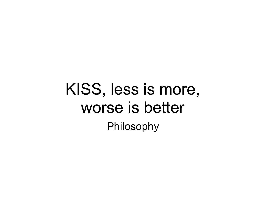### KISS, less is more, worse is better Philosophy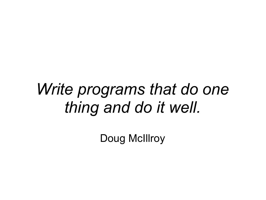## *Write programs that do one thing and do it well.*

Doug McIllroy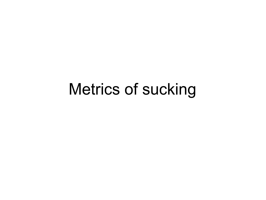### Metrics of sucking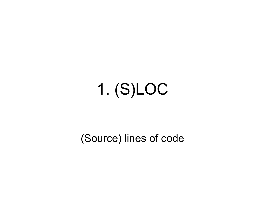## 1. (S)LOC

(Source) lines of code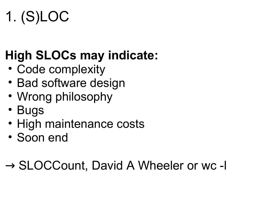## 1. (S)LOC

### **High SLOCs may indicate:**

- Code complexity
- Bad software design
- Wrong philosophy
- Bugs
- High maintenance costs
- Soon end

### → SLOCCount, David A Wheeler or wc -l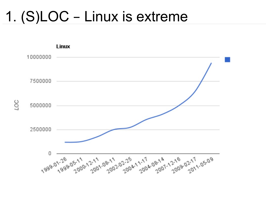### 1. (S)LOC - Linux is extreme

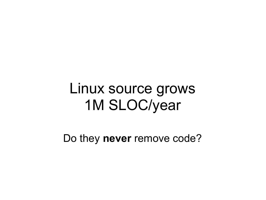### Linux source grows 1M SLOC/year

Do they **never** remove code?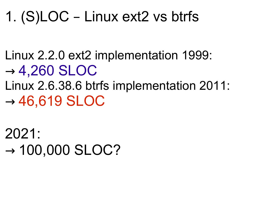### 1. (S)LOC – Linux ext2 vs btrfs

- Linux 2.2.0 ext2 implementation 1999:  $\rightarrow$  4,260 SLOC
- Linux 2.6.38.6 btrfs implementation 2011:  $\rightarrow$  46,619 SLOC

2021:  $\rightarrow$  100,000 SLOC?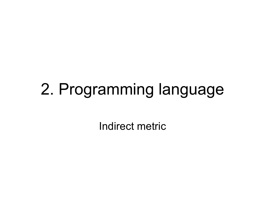## 2. Programming language

Indirect metric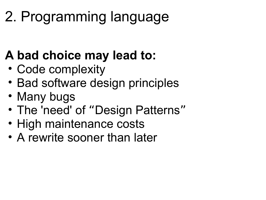## 2. Programming language

### **A bad choice may lead to:**

- Code complexity
- Bad software design principles
- Many bugs
- The 'need' of "Design Patterns"
- High maintenance costs
- A rewrite sooner than later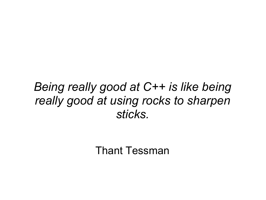#### *Being really good at C++ is like being really good at using rocks to sharpen sticks.*

Thant Tessman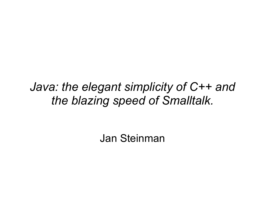#### *Java: the elegant simplicity of C++ and the blazing speed of Smalltalk.*

Jan Steinman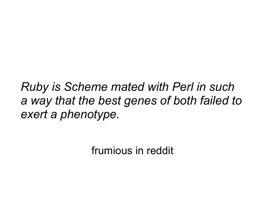*Ruby is Scheme mated with Perl in such a way that the best genes of both failed to exert a phenotype.*

frumious in reddit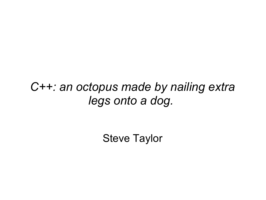#### *C++: an octopus made by nailing extra legs onto a dog.*

Steve Taylor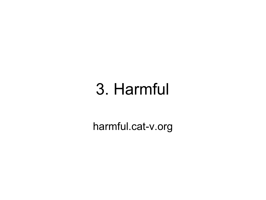## 3. Harmful

harmful.cat-v.org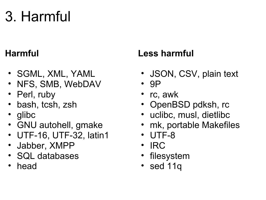### 3. Harmful

#### **Harmful**

- SGML, XML, YAML
- NFS, SMB, WebDAV
- Perl, ruby
- bash, tcsh, zsh
- glibc
- GNU autohell, gmake
- UTF-16, UTF-32, latin1
- Jabber, XMPP
- SQL databases
- head

#### **Less harmful**

- JSON, CSV, plain text
- 9P
- rc, awk
- OpenBSD pdksh, rc
- uclibc, musl, dietlibc
- mk, portable Makefiles
- UTF-8
- IRC
- filesystem
- sed 11q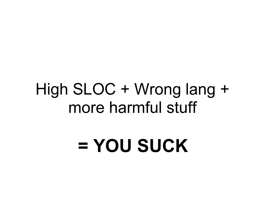### High SLOC + Wrong lang + more harmful stuff

## **= YOU SUCK**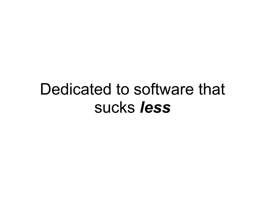### Dedicated to software that sucks *less*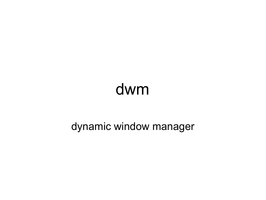## dwm

#### dynamic window manager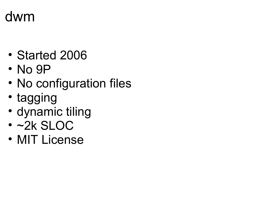#### dwm

- Started 2006
- No 9P
- No configuration files
- tagging
- dynamic tiling
- ~2k SLOC
- MIT License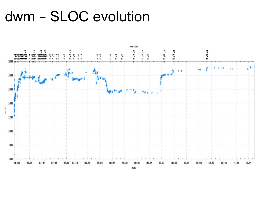#### dwm - SLOC evolution

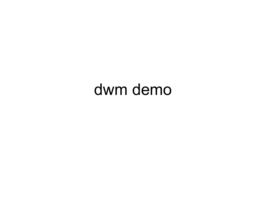### dwm demo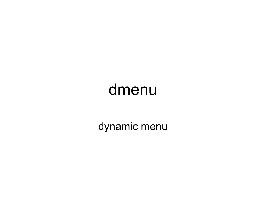### dmenu

dynamic menu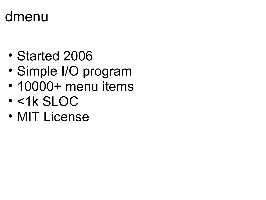#### dmenu

- Started 2006
- Simple I/O program
- 10000+ menu items
- <1k SLOC
- MIT License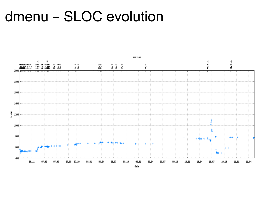#### dmenu - SLOC evolution

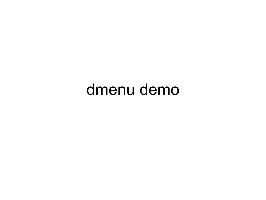### dmenu demo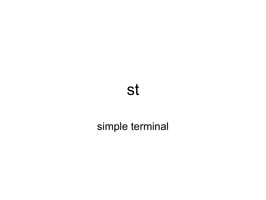#### st

#### simple terminal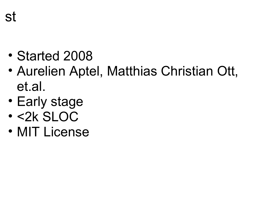- Started 2008
- Aurelien Aptel, Matthias Christian Ott, et.al.
- Early stage
- <2k SLOC
- MIT License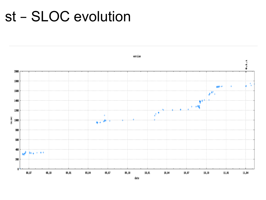#### st - SLOC evolution



 $date$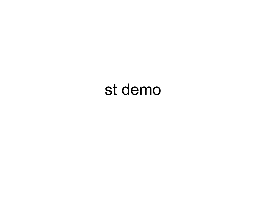### st demo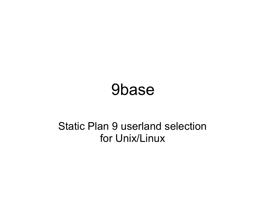### 9base

#### Static Plan 9 userland selection for Unix/Linux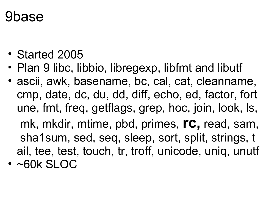#### 9base

- Started 2005
- Plan 9 libc, libbio, libregexp, libfmt and libutf
- ascii, awk, basename, bc, cal, cat, cleanname, cmp, date, dc, du, dd, diff, echo, ed, factor, fort une, fmt, freq, getflags, grep, hoc, join, look, ls, mk, mkdir, mtime, pbd, primes, **rc,** read, sam, sha1sum, sed, seq, sleep, sort, split, strings, t ail, tee, test, touch, tr, troff, unicode, uniq, unutf
- ~60k SLOC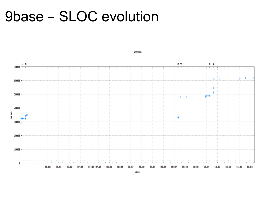#### **9base - SLOC evolution**



version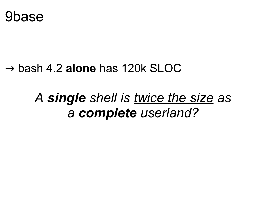

#### → bash 4.2 **alone** has 120k SLOC

#### *A single shell is twice the size as a complete userland?*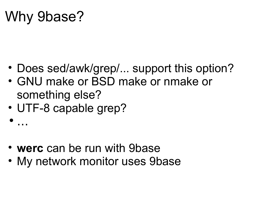### Why 9base?

- Does sed/awk/grep/... support this option?
- GNU make or BSD make or nmake or something else?
- UTF-8 capable grep?

```
\bullet …
```
- **werc** can be run with 9base
- My network monitor uses 9base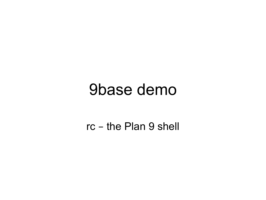### 9base demo

rc - the Plan 9 shell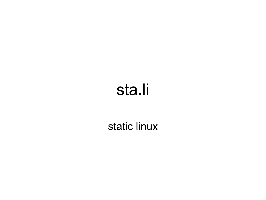## sta.li

#### static linux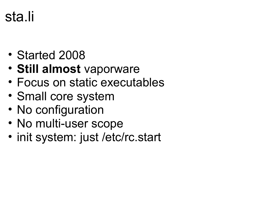### sta.li

- Started 2008
- **Still almost** vaporware
- Focus on static executables
- Small core system
- No configuration
- No multi-user scope
- init system: just /etc/rc.start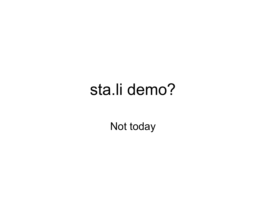### sta.li demo?

Not today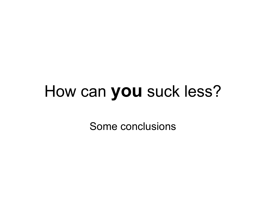## How can **you** suck less?

Some conclusions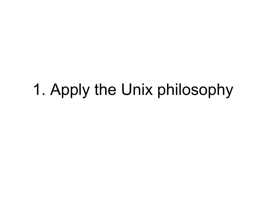## 1. Apply the Unix philosophy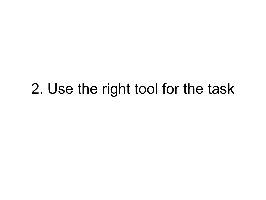### 2. Use the right tool for the task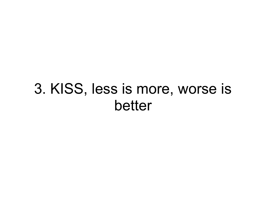### 3. KISS, less is more, worse is better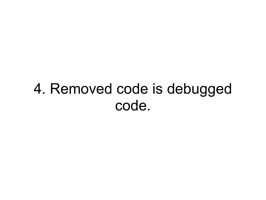### 4. Removed code is debugged code.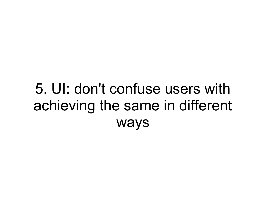### 5. UI: don't confuse users with achieving the same in different ways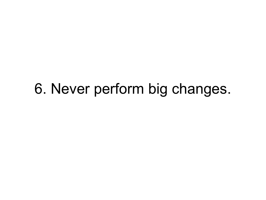### 6. Never perform big changes.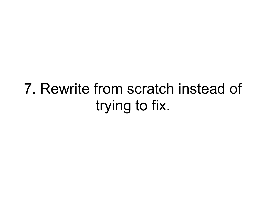### 7. Rewrite from scratch instead of trying to fix.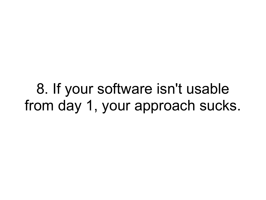8. If your software isn't usable from day 1, your approach sucks.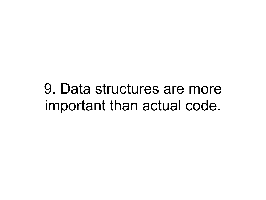9. Data structures are more important than actual code.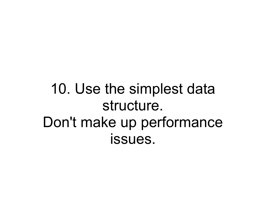10. Use the simplest data structure. Don't make up performance issues.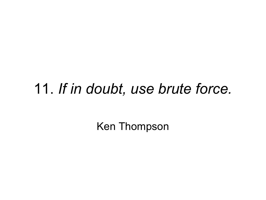#### 11. *If in doubt, use brute force.*

Ken Thompson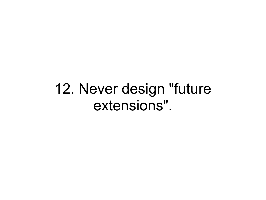12. Never design "future extensions".